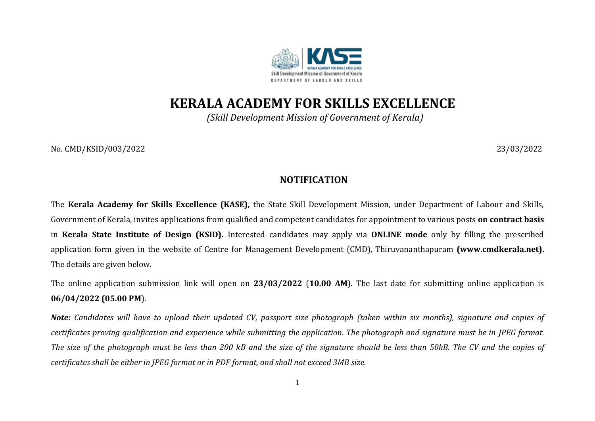

**KERALA ACADEMY FOR SKILLS EXCELLENCE**

*(Skill Development Mission of Government of Kerala)*

No*.* CMD/KSID/003/2022 23/03/2022

## **NOTIFICATION**

The **Kerala Academy for Skills Excellence (KASE),** the State Skill Development Mission, under Department of Labour and Skills, Government of Kerala, invites applications from qualified and competent candidates for appointment to various posts **on contract basis**  in **Kerala State Institute of Design (KSID).** Interested candidates may apply via **ONLINE mode** only by filling the prescribed application form given in the website of Centre for Management Development (CMD), Thiruvananthapuram **[\(www.cmdkerala.net\)](about:blank).** The details are given below*.* 

The online application submission link will open on **23/03/2022** (**10.00 AM**). The last date for submitting online application is **06/04/2022 (05.00 PM**).

*Note: Candidates will have to upload their updated CV, passport size photograph (taken within six months), signature and copies of certificates proving qualification and experience while submitting the application. The photograph and signature must be in JPEG format. The size of the photograph must be less than 200 kB and the size of the signature should be less than 50kB. The CV and the copies of certificates shall be either in JPEG format or in PDF format, and shall not exceed 3MB size.*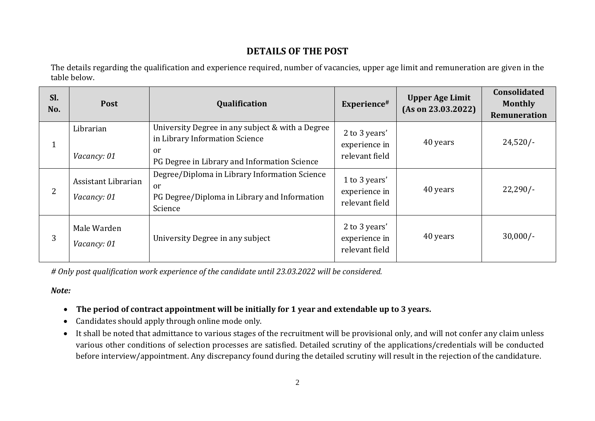## **DETAILS OF THE POST**

The details regarding the qualification and experience required, number of vacancies, upper age limit and remuneration are given in the table below.

| Sl.<br>No.     | Post                               | Qualification                                                                                                                                       | Experience#                                      | <b>Upper Age Limit</b><br>(As on 23.03.2022) | <b>Consolidated</b><br><b>Monthly</b><br>Remuneration |
|----------------|------------------------------------|-----------------------------------------------------------------------------------------------------------------------------------------------------|--------------------------------------------------|----------------------------------------------|-------------------------------------------------------|
| $\mathbf{1}$   | Librarian<br>Vacancy: 01           | University Degree in any subject & with a Degree<br>in Library Information Science<br><sub>or</sub><br>PG Degree in Library and Information Science | 2 to 3 years'<br>experience in<br>relevant field | 40 years                                     | $24,520/-$                                            |
| $\overline{2}$ | Assistant Librarian<br>Vacancy: 01 | Degree/Diploma in Library Information Science<br><sub>or</sub><br>PG Degree/Diploma in Library and Information<br>Science                           | 1 to 3 years'<br>experience in<br>relevant field | 40 years                                     | $22,290/-$                                            |
| 3              | Male Warden<br>Vacancy: 01         | University Degree in any subject                                                                                                                    | 2 to 3 years'<br>experience in<br>relevant field | 40 years                                     | $30,000/-$                                            |

*# Only post qualification work experience of the candidate until 23.03.2022 will be considered.*

*Note:*

- **The period of contract appointment will be initially for 1 year and extendable up to 3 years.**
- Candidates should apply through online mode only.
- It shall be noted that admittance to various stages of the recruitment will be provisional only, and will not confer any claim unless various other conditions of selection processes are satisfied. Detailed scrutiny of the applications/credentials will be conducted before interview/appointment. Any discrepancy found during the detailed scrutiny will result in the rejection of the candidature.